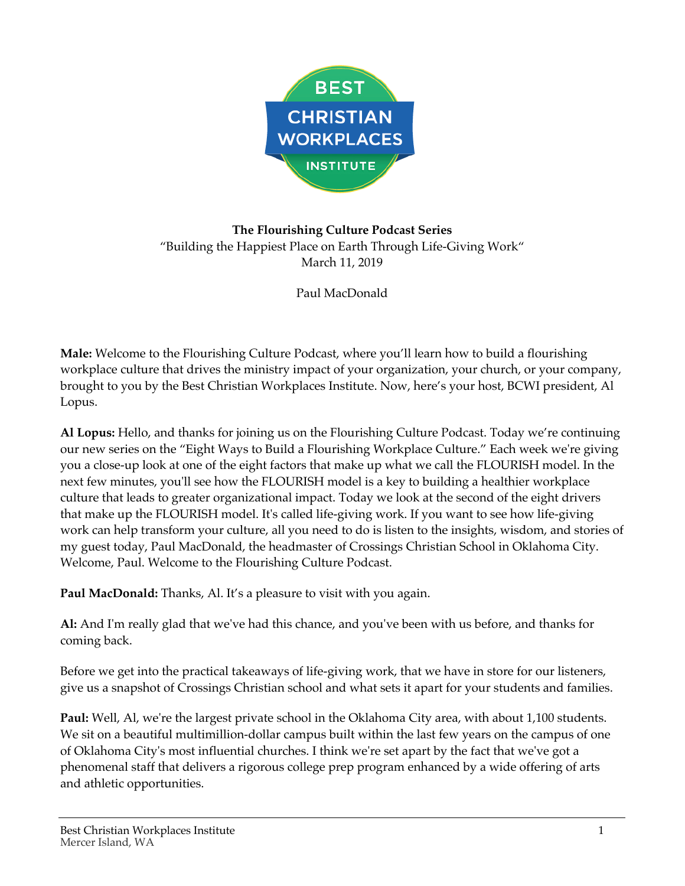

## **The Flourishing Culture Podcast Series** "Building the Happiest Place on Earth Through Life-Giving Work" March 11, 2019

Paul MacDonald

**Male:** Welcome to the Flourishing Culture Podcast, where you'll learn how to build a flourishing workplace culture that drives the ministry impact of your organization, your church, or your company, brought to you by the Best Christian Workplaces Institute. Now, here's your host, BCWI president, Al Lopus.

**Al Lopus:** Hello, and thanks for joining us on the Flourishing Culture Podcast. Today we're continuing our new series on the "Eight Ways to Build a Flourishing Workplace Culture." Each week we're giving you a close-up look at one of the eight factors that make up what we call the FLOURISH model. In the next few minutes, you'll see how the FLOURISH model is a key to building a healthier workplace culture that leads to greater organizational impact. Today we look at the second of the eight drivers that make up the FLOURISH model. It's called life-giving work. If you want to see how life-giving work can help transform your culture, all you need to do is listen to the insights, wisdom, and stories of my guest today, Paul MacDonald, the headmaster of Crossings Christian School in Oklahoma City. Welcome, Paul. Welcome to the Flourishing Culture Podcast.

**Paul MacDonald:** Thanks, Al. It's a pleasure to visit with you again.

**Al:** And I'm really glad that we've had this chance, and you've been with us before, and thanks for coming back.

Before we get into the practical takeaways of life-giving work, that we have in store for our listeners, give us a snapshot of Crossings Christian school and what sets it apart for your students and families.

**Paul:** Well, Al, we're the largest private school in the Oklahoma City area, with about 1,100 students. We sit on a beautiful multimillion-dollar campus built within the last few years on the campus of one of Oklahoma City's most influential churches. I think we're set apart by the fact that we've got a phenomenal staff that delivers a rigorous college prep program enhanced by a wide offering of arts and athletic opportunities.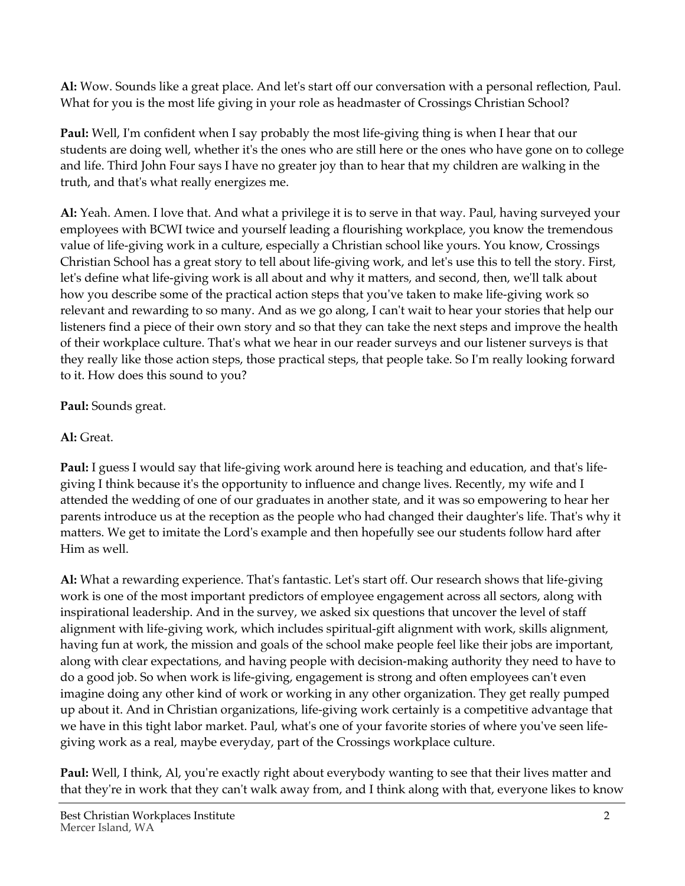**Al:** Wow. Sounds like a great place. And let's start off our conversation with a personal reflection, Paul. What for you is the most life giving in your role as headmaster of Crossings Christian School?

**Paul:** Well, I'm confident when I say probably the most life-giving thing is when I hear that our students are doing well, whether it's the ones who are still here or the ones who have gone on to college and life. Third John Four says I have no greater joy than to hear that my children are walking in the truth, and that's what really energizes me.

**Al:** Yeah. Amen. I love that. And what a privilege it is to serve in that way. Paul, having surveyed your employees with BCWI twice and yourself leading a flourishing workplace, you know the tremendous value of life-giving work in a culture, especially a Christian school like yours. You know, Crossings Christian School has a great story to tell about life-giving work, and let's use this to tell the story. First, let's define what life-giving work is all about and why it matters, and second, then, we'll talk about how you describe some of the practical action steps that you've taken to make life-giving work so relevant and rewarding to so many. And as we go along, I can't wait to hear your stories that help our listeners find a piece of their own story and so that they can take the next steps and improve the health of their workplace culture. That's what we hear in our reader surveys and our listener surveys is that they really like those action steps, those practical steps, that people take. So I'm really looking forward to it. How does this sound to you?

## **Paul:** Sounds great.

## **Al:** Great.

**Paul:** I guess I would say that life-giving work around here is teaching and education, and that's lifegiving I think because it's the opportunity to influence and change lives. Recently, my wife and I attended the wedding of one of our graduates in another state, and it was so empowering to hear her parents introduce us at the reception as the people who had changed their daughter's life. That's why it matters. We get to imitate the Lord's example and then hopefully see our students follow hard after Him as well.

**Al:** What a rewarding experience. That's fantastic. Let's start off. Our research shows that life-giving work is one of the most important predictors of employee engagement across all sectors, along with inspirational leadership. And in the survey, we asked six questions that uncover the level of staff alignment with life-giving work, which includes spiritual-gift alignment with work, skills alignment, having fun at work, the mission and goals of the school make people feel like their jobs are important, along with clear expectations, and having people with decision-making authority they need to have to do a good job. So when work is life-giving, engagement is strong and often employees can't even imagine doing any other kind of work or working in any other organization. They get really pumped up about it. And in Christian organizations, life-giving work certainly is a competitive advantage that we have in this tight labor market. Paul, what's one of your favorite stories of where you've seen lifegiving work as a real, maybe everyday, part of the Crossings workplace culture.

**Paul:** Well, I think, Al, you're exactly right about everybody wanting to see that their lives matter and that they're in work that they can't walk away from, and I think along with that, everyone likes to know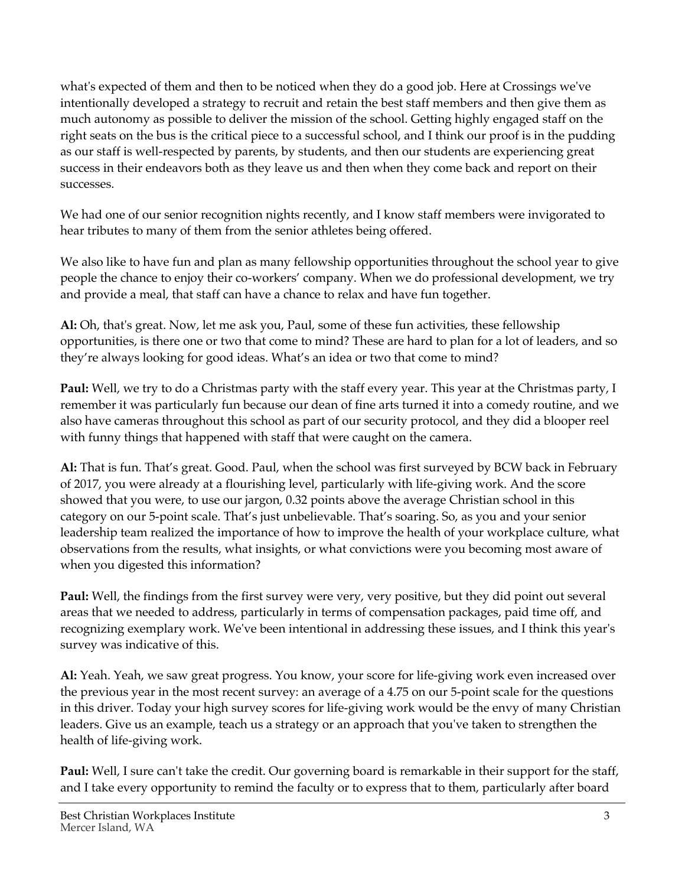what's expected of them and then to be noticed when they do a good job. Here at Crossings we've intentionally developed a strategy to recruit and retain the best staff members and then give them as much autonomy as possible to deliver the mission of the school. Getting highly engaged staff on the right seats on the bus is the critical piece to a successful school, and I think our proof is in the pudding as our staff is well-respected by parents, by students, and then our students are experiencing great success in their endeavors both as they leave us and then when they come back and report on their successes.

We had one of our senior recognition nights recently, and I know staff members were invigorated to hear tributes to many of them from the senior athletes being offered.

We also like to have fun and plan as many fellowship opportunities throughout the school year to give people the chance to enjoy their co-workers' company. When we do professional development, we try and provide a meal, that staff can have a chance to relax and have fun together.

**Al:** Oh, that's great. Now, let me ask you, Paul, some of these fun activities, these fellowship opportunities, is there one or two that come to mind? These are hard to plan for a lot of leaders, and so they're always looking for good ideas. What's an idea or two that come to mind?

**Paul:** Well, we try to do a Christmas party with the staff every year. This year at the Christmas party, I remember it was particularly fun because our dean of fine arts turned it into a comedy routine, and we also have cameras throughout this school as part of our security protocol, and they did a blooper reel with funny things that happened with staff that were caught on the camera.

**Al:** That is fun. That's great. Good. Paul, when the school was first surveyed by BCW back in February of 2017, you were already at a flourishing level, particularly with life-giving work. And the score showed that you were, to use our jargon, 0.32 points above the average Christian school in this category on our 5-point scale. That's just unbelievable. That's soaring. So, as you and your senior leadership team realized the importance of how to improve the health of your workplace culture, what observations from the results, what insights, or what convictions were you becoming most aware of when you digested this information?

**Paul:** Well, the findings from the first survey were very, very positive, but they did point out several areas that we needed to address, particularly in terms of compensation packages, paid time off, and recognizing exemplary work. We've been intentional in addressing these issues, and I think this year's survey was indicative of this.

**Al:** Yeah. Yeah, we saw great progress. You know, your score for life-giving work even increased over the previous year in the most recent survey: an average of a 4.75 on our 5-point scale for the questions in this driver. Today your high survey scores for life-giving work would be the envy of many Christian leaders. Give us an example, teach us a strategy or an approach that you've taken to strengthen the health of life-giving work.

**Paul:** Well, I sure can't take the credit. Our governing board is remarkable in their support for the staff, and I take every opportunity to remind the faculty or to express that to them, particularly after board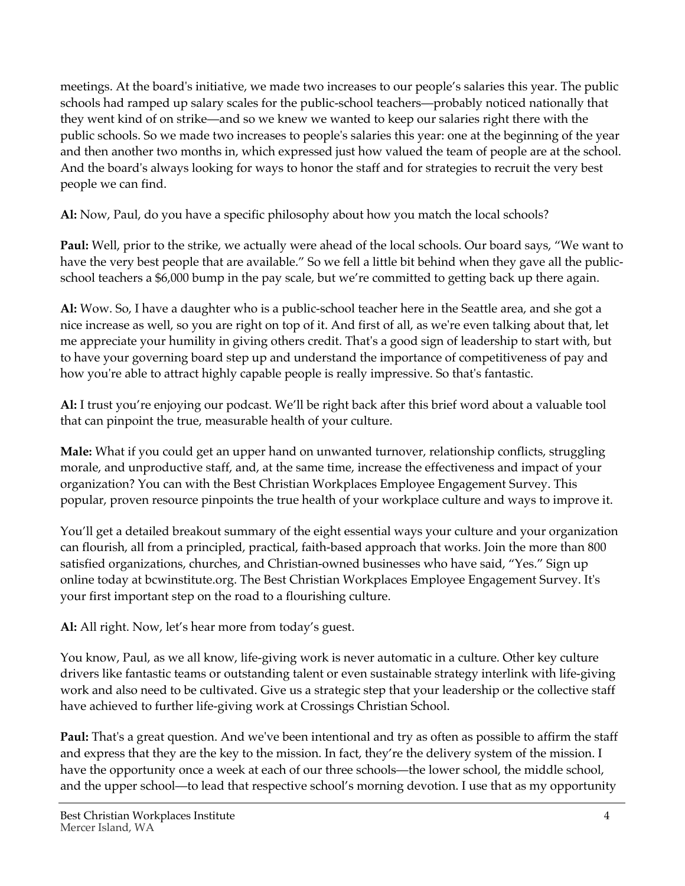meetings. At the board's initiative, we made two increases to our people's salaries this year. The public schools had ramped up salary scales for the public-school teachers—probably noticed nationally that they went kind of on strike—and so we knew we wanted to keep our salaries right there with the public schools. So we made two increases to people's salaries this year: one at the beginning of the year and then another two months in, which expressed just how valued the team of people are at the school. And the board's always looking for ways to honor the staff and for strategies to recruit the very best people we can find.

**Al:** Now, Paul, do you have a specific philosophy about how you match the local schools?

**Paul:** Well, prior to the strike, we actually were ahead of the local schools. Our board says, "We want to have the very best people that are available." So we fell a little bit behind when they gave all the publicschool teachers a \$6,000 bump in the pay scale, but we're committed to getting back up there again.

**Al:** Wow. So, I have a daughter who is a public-school teacher here in the Seattle area, and she got a nice increase as well, so you are right on top of it. And first of all, as we're even talking about that, let me appreciate your humility in giving others credit. That's a good sign of leadership to start with, but to have your governing board step up and understand the importance of competitiveness of pay and how you're able to attract highly capable people is really impressive. So that's fantastic.

**Al:** I trust you're enjoying our podcast. We'll be right back after this brief word about a valuable tool that can pinpoint the true, measurable health of your culture.

**Male:** What if you could get an upper hand on unwanted turnover, relationship conflicts, struggling morale, and unproductive staff, and, at the same time, increase the effectiveness and impact of your organization? You can with the Best Christian Workplaces Employee Engagement Survey. This popular, proven resource pinpoints the true health of your workplace culture and ways to improve it.

You'll get a detailed breakout summary of the eight essential ways your culture and your organization can flourish, all from a principled, practical, faith-based approach that works. Join the more than 800 satisfied organizations, churches, and Christian-owned businesses who have said, "Yes." Sign up online today at bcwinstitute.org. The Best Christian Workplaces Employee Engagement Survey. It's your first important step on the road to a flourishing culture.

**Al:** All right. Now, let's hear more from today's guest.

You know, Paul, as we all know, life-giving work is never automatic in a culture. Other key culture drivers like fantastic teams or outstanding talent or even sustainable strategy interlink with life-giving work and also need to be cultivated. Give us a strategic step that your leadership or the collective staff have achieved to further life-giving work at Crossings Christian School.

**Paul:** That's a great question. And we've been intentional and try as often as possible to affirm the staff and express that they are the key to the mission. In fact, they're the delivery system of the mission. I have the opportunity once a week at each of our three schools—the lower school, the middle school, and the upper school—to lead that respective school's morning devotion. I use that as my opportunity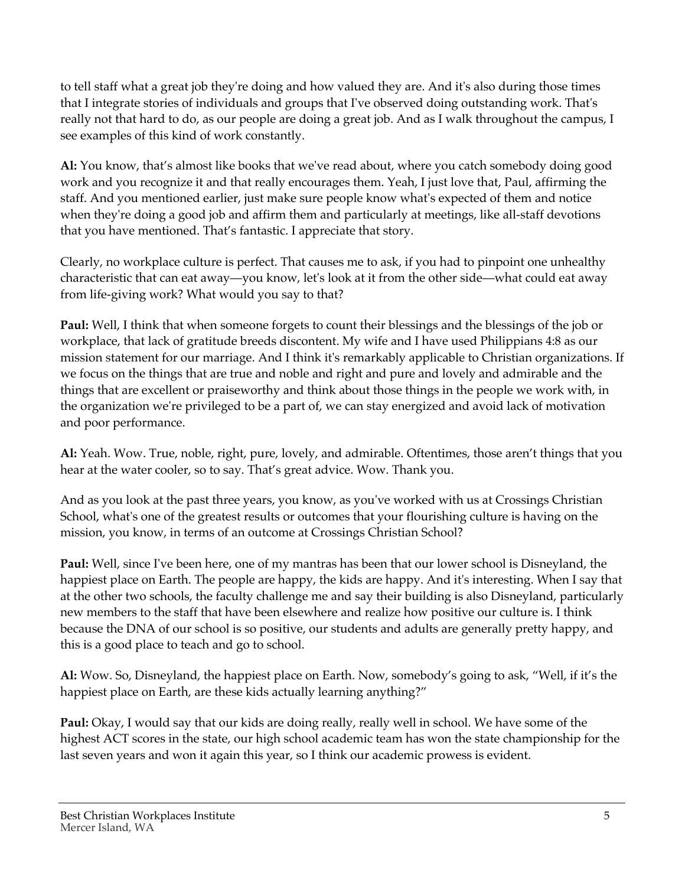to tell staff what a great job they're doing and how valued they are. And it's also during those times that I integrate stories of individuals and groups that I've observed doing outstanding work. That's really not that hard to do, as our people are doing a great job. And as I walk throughout the campus, I see examples of this kind of work constantly.

**Al:** You know, that's almost like books that we've read about, where you catch somebody doing good work and you recognize it and that really encourages them. Yeah, I just love that, Paul, affirming the staff. And you mentioned earlier, just make sure people know what's expected of them and notice when they're doing a good job and affirm them and particularly at meetings, like all-staff devotions that you have mentioned. That's fantastic. I appreciate that story.

Clearly, no workplace culture is perfect. That causes me to ask, if you had to pinpoint one unhealthy characteristic that can eat away—you know, let's look at it from the other side—what could eat away from life-giving work? What would you say to that?

**Paul:** Well, I think that when someone forgets to count their blessings and the blessings of the job or workplace, that lack of gratitude breeds discontent. My wife and I have used Philippians 4:8 as our mission statement for our marriage. And I think it's remarkably applicable to Christian organizations. If we focus on the things that are true and noble and right and pure and lovely and admirable and the things that are excellent or praiseworthy and think about those things in the people we work with, in the organization we're privileged to be a part of, we can stay energized and avoid lack of motivation and poor performance.

**Al:** Yeah. Wow. True, noble, right, pure, lovely, and admirable. Oftentimes, those aren't things that you hear at the water cooler, so to say. That's great advice. Wow. Thank you.

And as you look at the past three years, you know, as you've worked with us at Crossings Christian School, what's one of the greatest results or outcomes that your flourishing culture is having on the mission, you know, in terms of an outcome at Crossings Christian School?

**Paul:** Well, since I've been here, one of my mantras has been that our lower school is Disneyland, the happiest place on Earth. The people are happy, the kids are happy. And it's interesting. When I say that at the other two schools, the faculty challenge me and say their building is also Disneyland, particularly new members to the staff that have been elsewhere and realize how positive our culture is. I think because the DNA of our school is so positive, our students and adults are generally pretty happy, and this is a good place to teach and go to school.

**Al:** Wow. So, Disneyland, the happiest place on Earth. Now, somebody's going to ask, "Well, if it's the happiest place on Earth, are these kids actually learning anything?"

**Paul:** Okay, I would say that our kids are doing really, really well in school. We have some of the highest ACT scores in the state, our high school academic team has won the state championship for the last seven years and won it again this year, so I think our academic prowess is evident.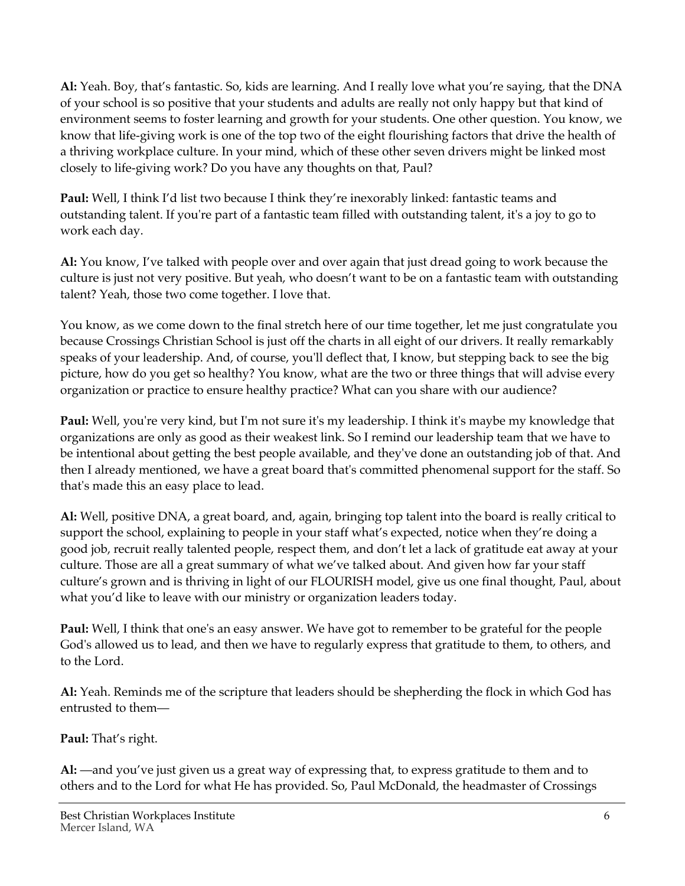**Al:** Yeah. Boy, that's fantastic. So, kids are learning. And I really love what you're saying, that the DNA of your school is so positive that your students and adults are really not only happy but that kind of environment seems to foster learning and growth for your students. One other question. You know, we know that life-giving work is one of the top two of the eight flourishing factors that drive the health of a thriving workplace culture. In your mind, which of these other seven drivers might be linked most closely to life-giving work? Do you have any thoughts on that, Paul?

**Paul:** Well, I think I'd list two because I think they're inexorably linked: fantastic teams and outstanding talent. If you're part of a fantastic team filled with outstanding talent, it's a joy to go to work each day.

**Al:** You know, I've talked with people over and over again that just dread going to work because the culture is just not very positive. But yeah, who doesn't want to be on a fantastic team with outstanding talent? Yeah, those two come together. I love that.

You know, as we come down to the final stretch here of our time together, let me just congratulate you because Crossings Christian School is just off the charts in all eight of our drivers. It really remarkably speaks of your leadership. And, of course, you'll deflect that, I know, but stepping back to see the big picture, how do you get so healthy? You know, what are the two or three things that will advise every organization or practice to ensure healthy practice? What can you share with our audience?

**Paul:** Well, you're very kind, but I'm not sure it's my leadership. I think it's maybe my knowledge that organizations are only as good as their weakest link. So I remind our leadership team that we have to be intentional about getting the best people available, and they've done an outstanding job of that. And then I already mentioned, we have a great board that's committed phenomenal support for the staff. So that's made this an easy place to lead.

**Al:** Well, positive DNA, a great board, and, again, bringing top talent into the board is really critical to support the school, explaining to people in your staff what's expected, notice when they're doing a good job, recruit really talented people, respect them, and don't let a lack of gratitude eat away at your culture. Those are all a great summary of what we've talked about. And given how far your staff culture's grown and is thriving in light of our FLOURISH model, give us one final thought, Paul, about what you'd like to leave with our ministry or organization leaders today.

**Paul:** Well, I think that one's an easy answer. We have got to remember to be grateful for the people God's allowed us to lead, and then we have to regularly express that gratitude to them, to others, and to the Lord.

**Al:** Yeah. Reminds me of the scripture that leaders should be shepherding the flock in which God has entrusted to them—

## **Paul:** That's right.

**Al:** —and you've just given us a great way of expressing that, to express gratitude to them and to others and to the Lord for what He has provided. So, Paul McDonald, the headmaster of Crossings